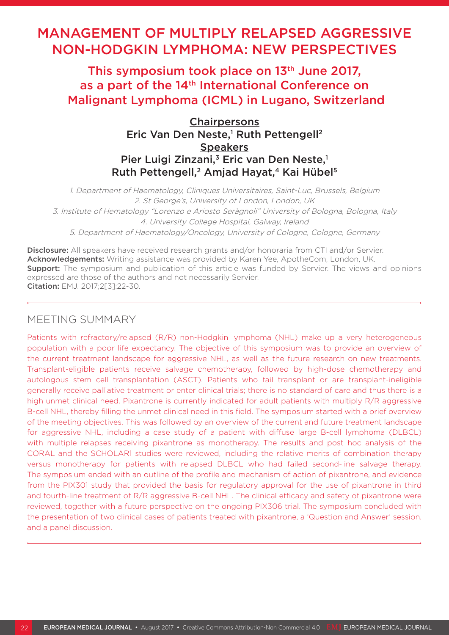# MANAGEMENT OF MULTIPLY RELAPSED AGGRESSIVE NON-HODGKIN LYMPHOMA: NEW PERSPECTIVES

This symposium took place on 13<sup>th</sup> June 2017, as a part of the 14<sup>th</sup> International Conference on Malignant Lymphoma (ICML) in Lugano, Switzerland

> **Chairpersons** Eric Van Den Neste,<sup>1</sup> Ruth Pettengell<sup>2</sup> **Speakers** Pier Luigi Zinzani,<sup>3</sup> Eric van Den Neste,<sup>1</sup> Ruth Pettengell,<sup>2</sup> Amjad Hayat,<sup>4</sup> Kai Hübel<sup>5</sup>

1. Department of Haematology, Cliniques Universitaires, Saint-Luc, Brussels, Belgium 2. St George's, University of London, London, UK 3. Institute of Hematology "Lorenzo e Ariosto Seràgnoli" University of Bologna, Bologna, Italy 4. University College Hospital, Galway, Ireland 5. Department of Haematology/Oncology, University of Cologne, Cologne, Germany

Disclosure: All speakers have received research grants and/or honoraria from CTI and/or Servier. Acknowledgements: Writing assistance was provided by Karen Yee, ApotheCom, London, UK. **Support:** The symposium and publication of this article was funded by Servier. The views and opinions expressed are those of the authors and not necessarily Servier. Citation: EMJ. 2017;2[3]:22-30.

# MEETING SUMMARY

Patients with refractory/relapsed (R/R) non-Hodgkin lymphoma (NHL) make up a very heterogeneous population with a poor life expectancy. The objective of this symposium was to provide an overview of the current treatment landscape for aggressive NHL, as well as the future research on new treatments. Transplant-eligible patients receive salvage chemotherapy, followed by high-dose chemotherapy and autologous stem cell transplantation (ASCT). Patients who fail transplant or are transplant-ineligible generally receive palliative treatment or enter clinical trials; there is no standard of care and thus there is a high unmet clinical need. Pixantrone is currently indicated for adult patients with multiply R/R aggressive B-cell NHL, thereby filling the unmet clinical need in this field. The symposium started with a brief overview of the meeting objectives. This was followed by an overview of the current and future treatment landscape for aggressive NHL, including a case study of a patient with diffuse large B-cell lymphoma (DLBCL) with multiple relapses receiving pixantrone as monotherapy. The results and post hoc analysis of the CORAL and the SCHOLAR1 studies were reviewed, including the relative merits of combination therapy versus monotherapy for patients with relapsed DLBCL who had failed second-line salvage therapy. The symposium ended with an outline of the profile and mechanism of action of pixantrone, and evidence from the PIX301 study that provided the basis for regulatory approval for the use of pixantrone in third and fourth-line treatment of R/R aggressive B-cell NHL. The clinical efficacy and safety of pixantrone were reviewed, together with a future perspective on the ongoing PIX306 trial. The symposium concluded with the presentation of two clinical cases of patients treated with pixantrone, a 'Question and Answer' session, and a panel discussion.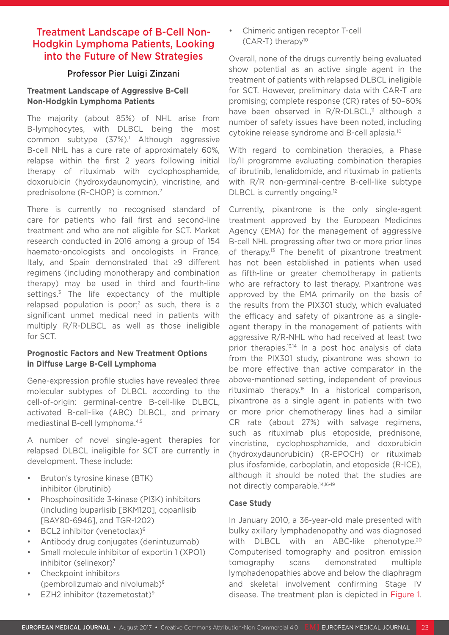# Treatment Landscape of B-Cell Non-Hodgkin Lymphoma Patients, Looking into the Future of New Strategies

### Professor Pier Luigi Zinzani

### **Treatment Landscape of Aggressive B-Cell Non-Hodgkin Lymphoma Patients**

The majority (about 85%) of NHL arise from B-lymphocytes, with DLBCL being the most common subtype (37%).<sup>1</sup> Although aggressive B-cell NHL has a cure rate of approximately 60%, relapse within the first 2 years following initial therapy of rituximab with cyclophosphamide, doxorubicin (hydroxydaunomycin), vincristine, and prednisolone (R-CHOP) is common.2

There is currently no recognised standard of care for patients who fail first and second-line treatment and who are not eligible for SCT. Market research conducted in 2016 among a group of 154 haemato-oncologists and oncologists in France, Italy, and Spain demonstrated that ≥9 different regimens (including monotherapy and combination therapy) may be used in third and fourth-line settings.<sup>3</sup> The life expectancy of the multiple relapsed population is poor;<sup>2</sup> as such, there is a significant unmet medical need in patients with multiply R/R-DLBCL as well as those ineligible for SCT.

## **Prognostic Factors and New Treatment Options in Diffuse Large B-Cell Lymphoma**

Gene-expression profile studies have revealed three molecular subtypes of DLBCL according to the cell-of-origin: germinal-centre B-cell-like DLBCL, activated B-cell-like (ABC) DLBCL, and primary mediastinal B-cell lymphoma.4,5

A number of novel single-agent therapies for relapsed DLBCL ineligible for SCT are currently in development. These include:

- Bruton's tyrosine kinase (BTK) inhibitor (ibrutinib)
- Phosphoinositide 3-kinase (PI3K) inhibitors (including buparlisib [BKM120], copanlisib [BAY80-6946], and TGR-1202)
- BCL2 inhibitor (venetoclax)<sup>6</sup>
- Antibody drug conjugates (denintuzumab)
- Small molecule inhibitor of exportin 1 (XPO1) inhibitor (selinexor)<sup>7</sup>
- Checkpoint inhibitors (pembrolizumab and nivolumab) $8$
- EZH2 inhibitor (tazemetostat)9

• Chimeric antigen receptor T-cell  $(CAR-T)$  therapy<sup>10</sup>

Overall, none of the drugs currently being evaluated show potential as an active single agent in the treatment of patients with relapsed DLBCL ineligible for SCT. However, preliminary data with CAR-T are promising; complete response (CR) rates of 50–60% have been observed in R/R-DLBCL,<sup>11</sup> although a number of safety issues have been noted, including cytokine release syndrome and B-cell aplasia.10

With regard to combination therapies, a Phase Ib/II programme evaluating combination therapies of ibrutinib, lenalidomide, and rituximab in patients with R/R non-germinal-centre B-cell-like subtype DLBCL is currently ongoing.<sup>12</sup>

Currently, pixantrone is the only single-agent treatment approved by the European Medicines Agency (EMA) for the management of aggressive B-cell NHL progressing after two or more prior lines of therapy.<sup>13</sup> The benefit of pixantrone treatment has not been established in patients when used as fifth-line or greater chemotherapy in patients who are refractory to last therapy. Pixantrone was approved by the EMA primarily on the basis of the results from the PIX301 study, which evaluated the efficacy and safety of pixantrone as a singleagent therapy in the management of patients with aggressive R/R-NHL who had received at least two prior therapies.13,14 In a post hoc analysis of data from the PIX301 study, pixantrone was shown to be more effective than active comparator in the above-mentioned setting, independent of previous rituximab therapy.15 In a historical comparison, pixantrone as a single agent in patients with two or more prior chemotherapy lines had a similar CR rate (about 27%) with salvage regimens, such as rituximab plus etoposide, prednisone, vincristine, cyclophosphamide, and doxorubicin (hydroxydaunorubicin) (R-EPOCH) or rituximab plus ifosfamide, carboplatin, and etoposide (R-ICE), although it should be noted that the studies are not directly comparable.14,16-19

### **Case Study**

In January 2010, a 36-year-old male presented with bulky axillary lymphadenopathy and was diagnosed with DLBCL with an ABC-like phenotype.<sup>20</sup> Computerised tomography and positron emission tomography scans demonstrated multiple lymphadenopathies above and below the diaphragm and skeletal involvement confirming Stage IV disease. The treatment plan is depicted in Figure 1.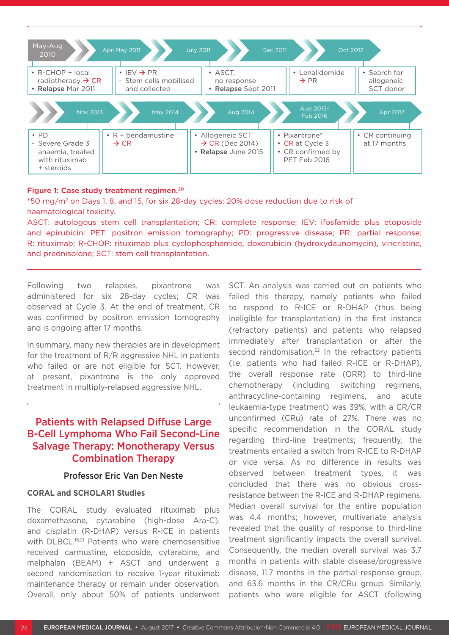

#### Figure 1: Case study treatment regimen.20

\*50 mg/m2 on Days 1, 8, and 15, for six 28-day cycles; 20% dose reduction due to risk of haematological toxicity.

ASCT: autologous stem cell transplantation; CR: complete response; IEV: ifosfamide plus etoposide and epirubicin: PET: positron emission tomography; PD: progressive disease; PR: partial response; R: rituximab; R-CHOP: rituximab plus cyclophosphamide, doxorubicin (hydroxydaunomycin), vincristine, and prednisolone; SCT: stem cell transplantation.

Following two relapses, pixantrone was administered for six 28-day cycles; CR was observed at Cycle 3. At the end of treatment, CR was confirmed by positron emission tomography and is ongoing after 17 months.

In summary, many new therapies are in development for the treatment of R/R aggressive NHL in patients who failed or are not eligible for SCT. However, at present, pixantrone is the only approved treatment in multiply-relapsed aggressive NHL.

# Patients with Relapsed Diffuse Large B-Cell Lymphoma Who Fail Second-Line Salvage Therapy: Monotherapy Versus Combination Therapy

#### Professor Eric Van Den Neste

#### **CORAL and SCHOLAR1 Studies**

The CORAL study evaluated rituximab plus dexamethasone, cytarabine (high-dose Ara-C), and cisplatin (R-DHAP) versus R-ICE in patients with DLBCL.<sup>18,21</sup> Patients who were chemosensitive received carmustine, etoposide, cytarabine, and melphalan (BEAM) + ASCT and underwent a second randomisation to receive 1-year rituximab maintenance therapy or remain under observation. Overall, only about 50% of patients underwent SCT. An analysis was carried out on patients who failed this therapy, namely patients who failed to respond to R-ICE or R-DHAP (thus being ineligible for transplantation) in the first instance (refractory patients) and patients who relapsed immediately after transplantation or after the second randomisation.<sup>22</sup> In the refractory patients (i.e. patients who had failed R-ICE or R-DHAP), the overall response rate (ORR) to third-line chemotherapy (including switching regimens, anthracycline-containing regimens, and acute leukaemia-type treatment) was 39%, with a CR/CR unconfirmed (CRu) rate of 27%. There was no specific recommendation in the CORAL study regarding third-line treatments; frequently, the treatments entailed a switch from R-ICE to R-DHAP or vice versa. As no difference in results was observed between treatment types, it was concluded that there was no obvious crossresistance between the R-ICE and R-DHAP regimens. Median overall survival for the entire population was 4.4 months; however, multivariate analysis revealed that the quality of response to third-line treatment significantly impacts the overall survival. Consequently, the median overall survival was 3.7 months in patients with stable disease/progressive disease, 11.7 months in the partial response group, and 63.6 months in the CR/CRu group. Similarly, patients who were eligible for ASCT (following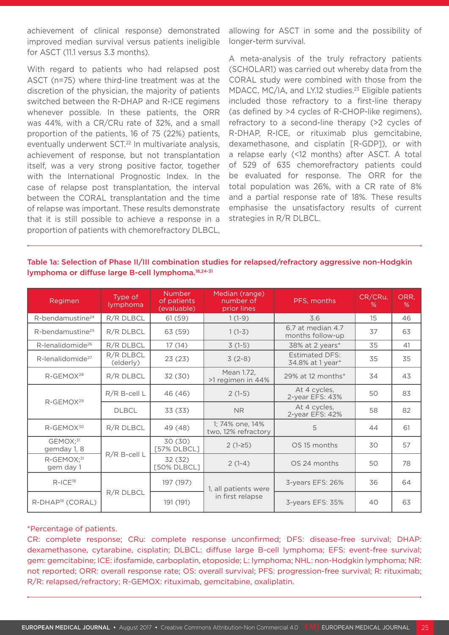achievement of clinical response) demonstrated improved median survival versus patients ineligible for ASCT (11.1 versus 3.3 months).

With regard to patients who had relapsed post ASCT (n=75) where third-line treatment was at the discretion of the physician, the majority of patients switched between the R-DHAP and R-ICE regimens whenever possible. In these patients, the ORR was 44%, with a CR/CRu rate of 32%, and a small proportion of the patients, 16 of 75 (22%) patients, eventually underwent SCT.<sup>22</sup> In multivariate analysis, achievement of response, but not transplantation itself, was a very strong positive factor, together with the International Prognostic Index. In the case of relapse post transplantation, the interval between the CORAL transplantation and the time of relapse was important. These results demonstrate that it is still possible to achieve a response in a proportion of patients with chemorefractory DLBCL,

allowing for ASCT in some and the possibility of longer-term survival.

A meta-analysis of the truly refractory patients (SCHOLAR1) was carried out whereby data from the CORAL study were combined with those from the MDACC, MC/IA, and LY.12 studies.23 Eligible patients included those refractory to a first-line therapy (as defined by >4 cycles of R-CHOP-like regimens), refractory to a second-line therapy (>2 cycles of R-DHAP, R-ICE, or rituximab plus gemcitabine, dexamethasone, and cisplatin [R-GDP]), or with a relapse early (<12 months) after ASCT. A total of 529 of 635 chemorefractory patients could be evaluated for response. The ORR for the total population was 26%, with a CR rate of 8% and a partial response rate of 18%. These results emphasise the unsatisfactory results of current strategies in R/R DLBCL.

Table 1a: Selection of Phase II/III combination studies for relapsed/refractory aggressive non-Hodgkin lymphoma or diffuse large B-cell lymphoma.18,24-31

| Regimen                             | Type of<br>lymphoma    | <b>Number</b><br>of patients<br>(evaluable) | Median (range)<br>number of<br>prior lines  | PFS, months                               | CR/CRu,<br>% | ORR,<br>% |
|-------------------------------------|------------------------|---------------------------------------------|---------------------------------------------|-------------------------------------------|--------------|-----------|
| R-bendamustine <sup>24</sup>        | R/R DLBCL              | 61(59)                                      | $1(1-9)$                                    | 3.6                                       | 15           | 46        |
| R-bendamustine <sup>25</sup>        | R/R DLBCL              | 63 (59)                                     | $1(1-3)$                                    | 6.7 at median 4.7<br>months follow-up     | 37           | 63        |
| R-lenalidomide <sup>26</sup>        | R/R DLBCL              | 17(14)                                      | $3(1-5)$                                    | 38% at 2 years*                           | 35           | 41        |
| R-lenalidomide <sup>27</sup>        | R/R DLBCL<br>(elderly) | 23(23)                                      | $3(2-8)$                                    | <b>Estimated DFS:</b><br>34.8% at 1 year* | 35           | 35        |
| R-GEMOX <sup>28</sup>               | R/R DLBCL              | 32 (30)                                     | Mean 1.72.<br>>1 regimen in 44%             | 29% at 12 months*                         | 34           | 43        |
| R-GEMOX <sup>29</sup>               | $R/R$ B-cell L         | 46 (46)                                     | $2(1-5)$                                    | At 4 cycles,<br>2-year EFS: 43%           | 50           | 83        |
|                                     | <b>DLBCL</b>           | 33 (33)                                     | <b>NR</b>                                   | At 4 cycles,<br>2-year EFS: 42%           | 58           | 82        |
| $R$ -GEMOX <sup>30</sup>            | R/R DLBCL              | 49 (48)                                     | 1; 74% one, 14%<br>5<br>two, 12% refractory |                                           | 44           | 61        |
| GEMOX; <sup>31</sup><br>gemday 1, 8 |                        | 30 (30)<br>[57% DLBCL]                      | $2(1-25)$                                   | OS 15 months                              | 30           | 57        |
| R-GEMOX; <sup>31</sup><br>gem day 1 | R/R B-cell L           | 32 (32)<br>[50% DLBCL]                      | $2(1-4)$                                    | OS 24 months                              | 50           | 78        |
| $R$ -IC $E$ <sup>18</sup>           |                        | 197 (197)                                   | 1, all patients were                        | 3-years EFS: 26%                          | 36           | 64        |
| R-DHAP <sup>18</sup> (CORAL)        | R/R DLBCL              | 191 (191)                                   | in first relapse                            | 3-years EFS: 35%                          | 40           | 63        |

#### \*Percentage of patients.

CR: complete response; CRu: complete response unconfirmed; DFS: disease-free survival; DHAP: dexamethasone, cytarabine, cisplatin; DLBCL: diffuse large B-cell lymphoma; EFS: event-free survival; gem: gemcitabine; ICE: ifosfamide, carboplatin, etoposide; L: lymphoma; NHL: non-Hodgkin lymphoma; NR: not reported; ORR: overall response rate; OS: overall survival; PFS: progression-free survival; R: rituximab; R/R: relapsed/refractory; R-GEMOX: rituximab, gemcitabine, oxaliplatin.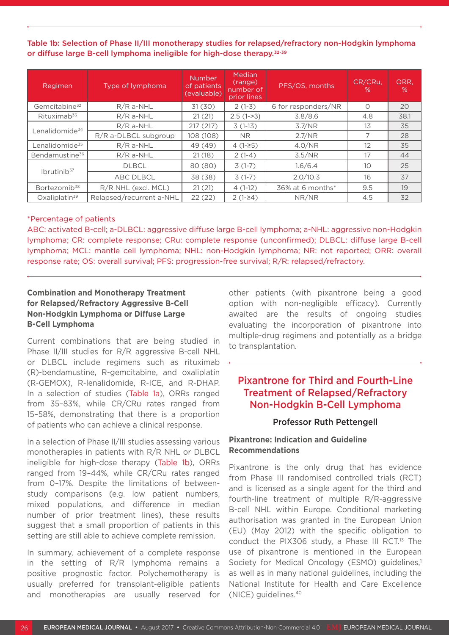Table 1b: Selection of Phase II/III monotherapy studies for relapsed/refractory non-Hodgkin lymphoma or diffuse large B-cell lymphoma ineligible for high-dose therapy.32-39

| Regimen                    | Type of lymphoma         | Number<br>of patients<br>(evaluable) | <b>Median</b><br>(range)<br>number of<br>prior lines | PFS/OS, months      | CR/CRu,<br>% | ORR,<br>% |
|----------------------------|--------------------------|--------------------------------------|------------------------------------------------------|---------------------|--------------|-----------|
| Gemcitabine <sup>32</sup>  | $R/R$ a-NHL              | 31(30)                               | $2(1-3)$                                             | 6 for responders/NR | $\bigcirc$   | 20        |
| Rituximab <sup>33</sup>    | $R/R$ a-NHL              | 21(21)                               | $2.5(1-3)$                                           | 3.8/8.6             | 4.8          | 38.1      |
| Lenalidomide <sup>34</sup> | $R/R$ a-NHL              | 217 (217)                            | $3(1-13)$                                            | 3.7/NR              | 13           | 35        |
|                            | R/R a-DLBCL subgroup     | 108 (108)                            | <b>NR</b>                                            | 2.7/NR              |              | 28        |
| Lenalidomide <sup>35</sup> | $R/R$ a-NHL              | 49 (49)                              | $4(1-25)$                                            | 4.0/NR              | 12           | 35        |
| Bendamustine <sup>36</sup> | $R/R$ a-NHL              | 21(18)                               | $2(1-4)$                                             | 3.5/NR              | 17           | 44        |
| Ibrutini b <sup>37</sup>   | <b>DLBCL</b>             | 80 (80)                              | $3(1-7)$                                             | 1.6/6.4             | 10           | 25        |
|                            | <b>ABC DLBCL</b>         | 38 (38)                              | $3(1-7)$                                             | 2.0/10.3            | 16           | 37        |
| Bortezomib <sup>38</sup>   | R/R NHL (excl. MCL)      | 21(21)                               | $4(1-12)$                                            | 36% at 6 months*    | 9.5          | 19        |
| Oxaliplatin <sup>39</sup>  | Relapsed/recurrent a-NHL | 22(22)                               | $2(1-24)$                                            | NR/NR               | 4.5          | 32        |

#### \*Percentage of patients

ABC: activated B-cell; a-DLBCL: aggressive diffuse large B-cell lymphoma; a-NHL: aggressive non-Hodgkin lymphoma; CR: complete response; CRu: complete response (unconfirmed); DLBCL: diffuse large B-cell lymphoma; MCL: mantle cell lymphoma; NHL: non-Hodgkin lymphoma; NR: not reported; ORR: overall response rate; OS: overall survival; PFS: progression-free survival; R/R: relapsed/refractory.

### **Combination and Monotherapy Treatment for Relapsed/Refractory Aggressive B-Cell Non-Hodgkin Lymphoma or Diffuse Large B-Cell Lymphoma**

Current combinations that are being studied in Phase II/III studies for R/R aggressive B-cell NHL or DLBCL include regimens such as rituximab (R)-bendamustine, R-gemcitabine, and oxaliplatin (R-GEMOX), R-lenalidomide, R-ICE, and R-DHAP. In a selection of studies (Table 1a), ORRs ranged from 35–83%, while CR/CRu rates ranged from 15–58%, demonstrating that there is a proportion of patients who can achieve a clinical response.

In a selection of Phase II/III studies assessing various monotherapies in patients with R/R NHL or DLBCL ineligible for high-dose therapy (Table 1b), ORRs ranged from 19–44%, while CR/CRu rates ranged from 0–17%. Despite the limitations of betweenstudy comparisons (e.g. low patient numbers, mixed populations, and difference in median number of prior treatment lines), these results suggest that a small proportion of patients in this setting are still able to achieve complete remission.

In summary, achievement of a complete response in the setting of R/R lymphoma remains a positive prognostic factor. Polychemotherapy is usually preferred for transplant-eligible patients and monotherapies are usually reserved for other patients (with pixantrone being a good option with non-negligible efficacy). Currently awaited are the results of ongoing studies evaluating the incorporation of pixantrone into multiple-drug regimens and potentially as a bridge to transplantation.

# Pixantrone for Third and Fourth-Line Treatment of Relapsed/Refractory Non-Hodgkin B-Cell Lymphoma

#### Professor Ruth Pettengell

#### **Pixantrone: Indication and Guideline Recommendations**

Pixantrone is the only drug that has evidence from Phase III randomised controlled trials (RCT) and is licensed as a single agent for the third and fourth-line treatment of multiple R/R-aggressive B-cell NHL within Europe. Conditional marketing authorisation was granted in the European Union (EU) (May 2012) with the specific obligation to conduct the PIX306 study, a Phase III RCT.<sup>13</sup> The use of pixantrone is mentioned in the European Society for Medical Oncology (ESMO) guidelines,<sup>1</sup> as well as in many national guidelines, including the National Institute for Health and Care Excellence (NICE) guidelines.40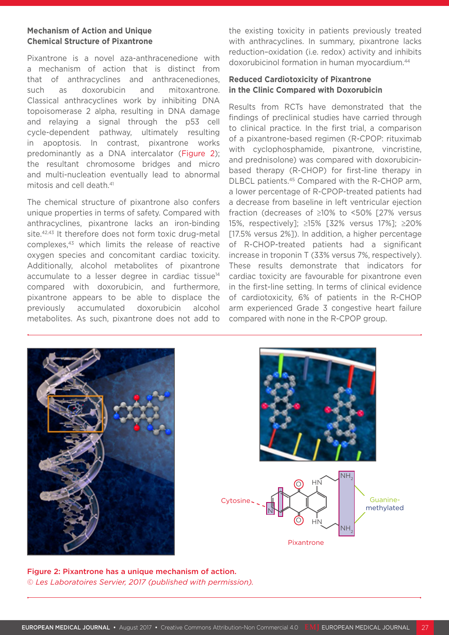#### **Mechanism of Action and Unique Chemical Structure of Pixantrone**

Pixantrone is a novel aza-anthracenedione with a mechanism of action that is distinct from that of anthracyclines and anthracenediones, such as doxorubicin and mitoxantrone. Classical anthracyclines work by inhibiting DNA topoisomerase 2 alpha, resulting in DNA damage and relaying a signal through the p53 cell cycle-dependent pathway, ultimately resulting in apoptosis. In contrast, pixantrone works predominantly as a DNA intercalator (Figure 2); the resultant chromosome bridges and micro and multi-nucleation eventually lead to abnormal mitosis and cell death.41

The chemical structure of pixantrone also confers unique properties in terms of safety. Compared with anthracyclines, pixantrone lacks an iron-binding site.42,43 It therefore does not form toxic drug-metal complexes,43 which limits the release of reactive oxygen species and concomitant cardiac toxicity. Additionally, alcohol metabolites of pixantrone accumulate to a lesser degree in cardiac tissue<sup>14</sup> compared with doxorubicin, and furthermore, pixantrone appears to be able to displace the previously accumulated doxorubicin alcohol metabolites. As such, pixantrone does not add to the existing toxicity in patients previously treated with anthracyclines. In summary, pixantrone lacks reduction–oxidation (i.e. redox) activity and inhibits doxorubicinol formation in human myocardium.44

### **Reduced Cardiotoxicity of Pixantrone in the Clinic Compared with Doxorubicin**

Results from RCTs have demonstrated that the findings of preclinical studies have carried through to clinical practice. In the first trial, a comparison of a pixantrone-based regimen (R-CPOP: rituximab with cyclophosphamide, pixantrone, vincristine, and prednisolone) was compared with doxorubicinbased therapy (R-CHOP) for first-line therapy in DLBCL patients.45 Compared with the R-CHOP arm, a lower percentage of R-CPOP-treated patients had a decrease from baseline in left ventricular ejection fraction (decreases of ≥10% to <50% [27% versus 15%, respectively]; ≥15% [32% versus 17%]; ≥20% [17.5% versus 2%]). In addition, a higher percentage of R-CHOP-treated patients had a significant increase in troponin T (33% versus 7%, respectively). These results demonstrate that indicators for cardiac toxicity are favourable for pixantrone even in the first-line setting. In terms of clinical evidence of cardiotoxicity, 6% of patients in the R-CHOP arm experienced Grade 3 congestive heart failure compared with none in the R-CPOP group.





Figure 2: Pixantrone has a unique mechanism of action. © *Les Laboratoires Servier, 2017 (published with permission).*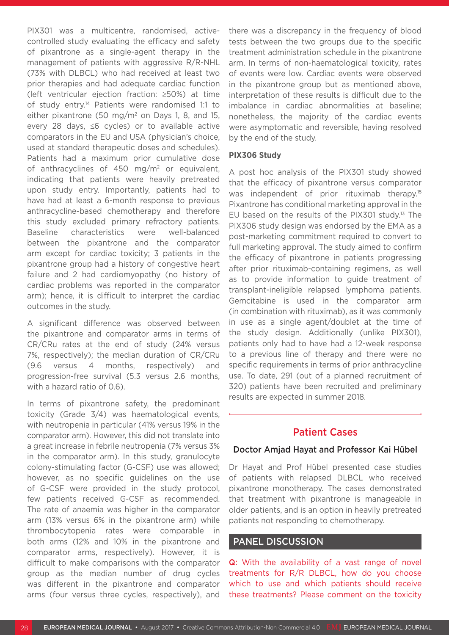PIX301 was a multicentre, randomised, activecontrolled study evaluating the efficacy and safety of pixantrone as a single-agent therapy in the management of patients with aggressive R/R-NHL (73% with DLBCL) who had received at least two prior therapies and had adequate cardiac function (left ventricular ejection fraction: ≥50%) at time of study entry.14 Patients were randomised 1:1 to either pixantrone (50 mg/m<sup>2</sup> on Days 1, 8, and 15, every 28 days, ≤6 cycles) or to available active comparators in the EU and USA (physician's choice, used at standard therapeutic doses and schedules). Patients had a maximum prior cumulative dose of anthracyclines of 450 mg/m<sup>2</sup> or equivalent, indicating that patients were heavily pretreated upon study entry. Importantly, patients had to have had at least a 6-month response to previous anthracycline-based chemotherapy and therefore this study excluded primary refractory patients. Baseline characteristics were well-balanced between the pixantrone and the comparator arm except for cardiac toxicity; 3 patients in the pixantrone group had a history of congestive heart failure and 2 had cardiomyopathy (no history of cardiac problems was reported in the comparator arm); hence, it is difficult to interpret the cardiac outcomes in the study.

A significant difference was observed between the pixantrone and comparator arms in terms of CR/CRu rates at the end of study (24% versus 7%, respectively); the median duration of CR/CRu (9.6 versus 4 months, respectively) and progression-free survival (5.3 versus 2.6 months, with a hazard ratio of 0.6).

In terms of pixantrone safety, the predominant toxicity (Grade 3/4) was haematological events, with neutropenia in particular (41% versus 19% in the comparator arm). However, this did not translate into a great increase in febrile neutropenia (7% versus 3% in the comparator arm). In this study, granulocyte colony-stimulating factor (G-CSF) use was allowed; however, as no specific guidelines on the use of G-CSF were provided in the study protocol, few patients received G-CSF as recommended. The rate of anaemia was higher in the comparator arm (13% versus 6% in the pixantrone arm) while thrombocytopenia rates were comparable in both arms (12% and 10% in the pixantrone and comparator arms, respectively). However, it is difficult to make comparisons with the comparator group as the median number of drug cycles was different in the pixantrone and comparator arms (four versus three cycles, respectively), and

there was a discrepancy in the frequency of blood tests between the two groups due to the specific treatment administration schedule in the pixantrone arm. In terms of non-haematological toxicity, rates of events were low. Cardiac events were observed in the pixantrone group but as mentioned above, interpretation of these results is difficult due to the imbalance in cardiac abnormalities at baseline; nonetheless, the majority of the cardiac events were asymptomatic and reversible, having resolved by the end of the study.

#### **PIX306 Study**

A post hoc analysis of the PIX301 study showed that the efficacy of pixantrone versus comparator was independent of prior rituximab therapy.<sup>15</sup> Pixantrone has conditional marketing approval in the EU based on the results of the PIX301 study.<sup>13</sup> The PIX306 study design was endorsed by the EMA as a post-marketing commitment required to convert to full marketing approval. The study aimed to confirm the efficacy of pixantrone in patients progressing after prior rituximab-containing regimens, as well as to provide information to guide treatment of transplant-ineligible relapsed lymphoma patients. Gemcitabine is used in the comparator arm (in combination with rituximab), as it was commonly in use as a single agent/doublet at the time of the study design. Additionally (unlike PIX301), patients only had to have had a 12-week response to a previous line of therapy and there were no specific requirements in terms of prior anthracycline use. To date, 291 (out of a planned recruitment of 320) patients have been recruited and preliminary results are expected in summer 2018.

# Patient Cases

### Doctor Amjad Hayat and Professor Kai Hübel

Dr Hayat and Prof Hübel presented case studies of patients with relapsed DLBCL who received pixantrone monotherapy. The cases demonstrated that treatment with pixantrone is manageable in older patients, and is an option in heavily pretreated patients not responding to chemotherapy.

# PANEL DISCUSSION

**Q:** With the availability of a vast range of novel treatments for R/R DLBCL, how do you choose which to use and which patients should receive these treatments? Please comment on the toxicity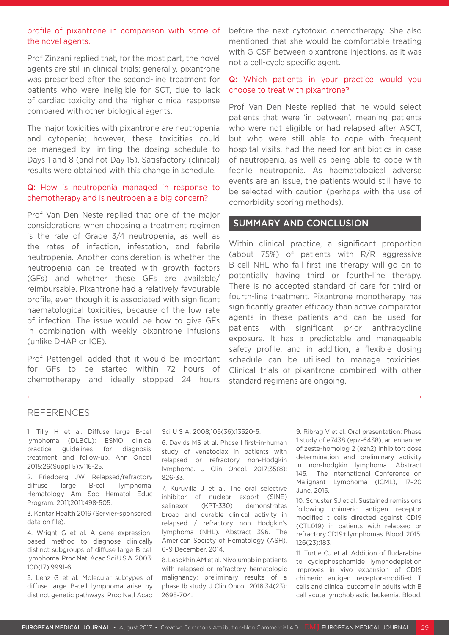#### profile of pixantrone in comparison with some of the novel agents.

Prof Zinzani replied that, for the most part, the novel agents are still in clinical trials; generally, pixantrone was prescribed after the second-line treatment for patients who were ineligible for SCT, due to lack of cardiac toxicity and the higher clinical response compared with other biological agents.

The major toxicities with pixantrone are neutropenia and cytopenia; however, these toxicities could be managed by limiting the dosing schedule to Days 1 and 8 (and not Day 15). Satisfactory (clinical) results were obtained with this change in schedule.

#### Q: How is neutropenia managed in response to chemotherapy and is neutropenia a big concern?

Prof Van Den Neste replied that one of the major considerations when choosing a treatment regimen is the rate of Grade 3/4 neutropenia, as well as the rates of infection, infestation, and febrile neutropenia. Another consideration is whether the neutropenia can be treated with growth factors (GFs) and whether these GFs are available/ reimbursable. Pixantrone had a relatively favourable profile, even though it is associated with significant haematological toxicities, because of the low rate of infection. The issue would be how to give GFs in combination with weekly pixantrone infusions (unlike DHAP or ICE).

Prof Pettengell added that it would be important for GFs to be started within 72 hours of chemotherapy and ideally stopped 24 hours

before the next cytotoxic chemotherapy. She also mentioned that she would be comfortable treating with G-CSF between pixantrone injections, as it was not a cell-cycle specific agent.

#### Q: Which patients in your practice would you choose to treat with pixantrone?

Prof Van Den Neste replied that he would select patients that were 'in between', meaning patients who were not eligible or had relapsed after ASCT, but who were still able to cope with frequent hospital visits, had the need for antibiotics in case of neutropenia, as well as being able to cope with febrile neutropenia. As haematological adverse events are an issue, the patients would still have to be selected with caution (perhaps with the use of comorbidity scoring methods).

## SUMMARY AND CONCLUSION

Within clinical practice, a significant proportion (about 75%) of patients with R/R aggressive B-cell NHL who fail first-line therapy will go on to potentially having third or fourth-line therapy. There is no accepted standard of care for third or fourth-line treatment. Pixantrone monotherapy has significantly greater efficacy than active comparator agents in these patients and can be used for patients with significant prior anthracycline exposure. It has a predictable and manageable safety profile, and in addition, a flexible dosing schedule can be utilised to manage toxicities. Clinical trials of pixantrone combined with other standard regimens are ongoing.

#### REFERENCES

1. Tilly H et al. Diffuse large B-cell lymphoma (DLBCL): ESMO clinical practice guidelines for diagnosis, treatment and follow-up. Ann Oncol. 2015;26(Suppl 5):v116-25.

2. Friedberg JW. Relapsed/refractory diffuse large B-cell lymphoma. Hematology Am Soc Hematol Educ Program. 2011;2011:498-505.

3. Kantar Health 2016 (Servier-sponsored; data on file).

4. Wright G et al. A gene expressionbased method to diagnose clinically distinct subgroups of diffuse large B cell lymphoma. Proc Natl Acad Sci U S A. 2003; 100(17):9991-6.

5. Lenz G et al. Molecular subtypes of diffuse large B-cell lymphoma arise by distinct genetic pathways. Proc Natl Acad

#### Sci U S A. 2008;105(36):13520-5.

6. Davids MS et al. Phase I first-in-human study of venetoclax in patients with relapsed or refractory non-Hodgkin lymphoma. J Clin Oncol. 2017;35(8): 826-33.

7. Kuruvilla J et al. The oral selective inhibitor of nuclear export (SINE) selinexor (KPT-330) demonstrates broad and durable clinical activity in relapsed / refractory non Hodgkin's lymphoma (NHL). Abstract 396. The American Society of Hematology (ASH), 6–9 December, 2014.

8. Lesokhin AM et al. Nivolumab in patients with relapsed or refractory hematologic malignancy: preliminary results of a phase Ib study. J Clin Oncol. 2016;34(23): 2698-704.

9. Ribrag V et al. Oral presentation: Phase 1 study of e7438 (epz-6438), an enhancer of zeste-homolog 2 (ezh2) inhibitor: dose determination and preliminary activity in non-hodgkin lymphoma. Abstract 145. The International Conference on Malignant Lymphoma (ICML), 17–20 June, 2015.

10. Schuster SJ et al. Sustained remissions following chimeric antigen receptor modified t cells directed against CD19 (CTL019) in patients with relapsed or refractory CD19+ lymphomas. Blood. 2015; 126(23):183.

11. Turtle CJ et al. Addition of fludarabine to cyclophosphamide lymphodepletion improves in vivo expansion of CD19 chimeric antigen receptor-modified T cells and clinical outcome in adults with B cell acute lymphoblastic leukemia. Blood.